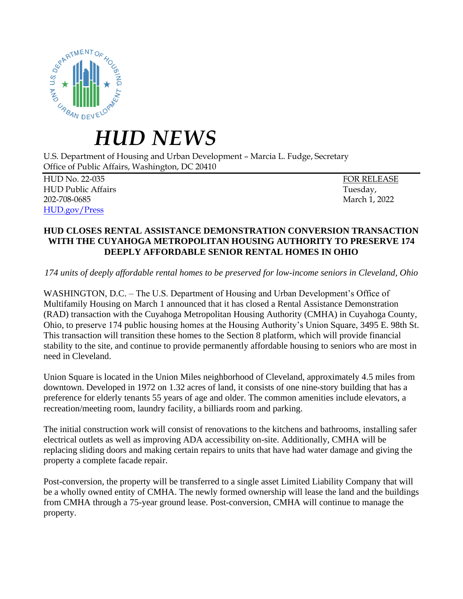

## *HUD NEWS*

U.S. Department of Housing and Urban Development – Marcia L. Fudge, Secretary Office of Public Affairs, Washington, DC 20410

HUD No. 22-035 FOR RELEASE HUD Public Affairs Tuesday, 202-708-0685 March 1, 2022 [HUD.gov/Press](https://www.hud.gov/press)

## **HUD CLOSES RENTAL ASSISTANCE DEMONSTRATION CONVERSION TRANSACTION WITH THE CUYAHOGA METROPOLITAN HOUSING AUTHORITY TO PRESERVE 174 DEEPLY AFFORDABLE SENIOR RENTAL HOMES IN OHIO**

*174 units of deeply affordable rental homes to be preserved for low-income seniors in Cleveland, Ohio*

WASHINGTON, D.C. – The U.S. Department of Housing and Urban Development's Office of Multifamily Housing on March 1 announced that it has closed a Rental Assistance Demonstration (RAD) transaction with the Cuyahoga Metropolitan Housing Authority (CMHA) in Cuyahoga County, Ohio, to preserve 174 public housing homes at the Housing Authority's Union Square, 3495 E. 98th St. This transaction will transition these homes to the Section 8 platform, which will provide financial stability to the site, and continue to provide permanently affordable housing to seniors who are most in need in Cleveland.

Union Square is located in the Union Miles neighborhood of Cleveland, approximately 4.5 miles from downtown. Developed in 1972 on 1.32 acres of land, it consists of one nine-story building that has a preference for elderly tenants 55 years of age and older. The common amenities include elevators, a recreation/meeting room, laundry facility, a billiards room and parking.

The initial construction work will consist of renovations to the kitchens and bathrooms, installing safer electrical outlets as well as improving ADA accessibility on-site. Additionally, CMHA will be replacing sliding doors and making certain repairs to units that have had water damage and giving the property a complete facade repair.

Post-conversion, the property will be transferred to a single asset Limited Liability Company that will be a wholly owned entity of CMHA. The newly formed ownership will lease the land and the buildings from CMHA through a 75-year ground lease. Post-conversion, CMHA will continue to manage the property.